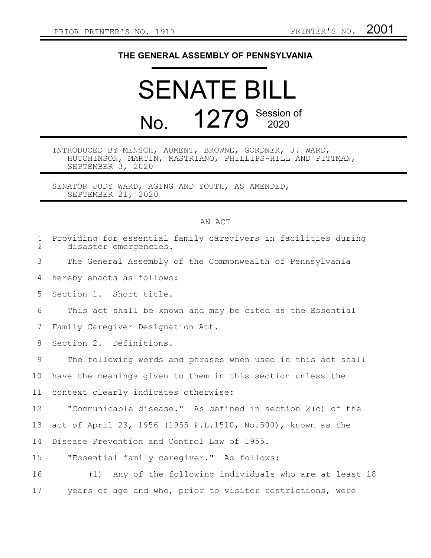## **THE GENERAL ASSEMBLY OF PENNSYLVANIA**

## SENATE BILL No. 1279 Session of

INTRODUCED BY MENSCH, AUMENT, BROWNE, GORDNER, J. WARD, HUTCHINSON, MARTIN, MASTRIANO, PHILLIPS-HILL AND PITTMAN, SEPTEMBER 3, 2020

SENATOR JUDY WARD, AGING AND YOUTH, AS AMENDED, SEPTEMBER 21, 2020

## AN ACT

| Providing for essential family caregivers in facilities during<br>disaster emergencies. |
|-----------------------------------------------------------------------------------------|
| The General Assembly of the Commonwealth of Pennsylvania                                |
| hereby enacts as follows:                                                               |
| Section 1. Short title.                                                                 |
| This act shall be known and may be cited as the Essential                               |
| Family Caregiver Designation Act.                                                       |
| Section 2. Definitions.                                                                 |
| The following words and phrases when used in this act shall                             |
| have the meanings given to them in this section unless the                              |
| context clearly indicates otherwise:                                                    |
| "Communicable disease." As defined in section 2(c) of the                               |
| act of April 23, 1956 (1955 P.L.1510, No.500), known as the                             |
| Disease Prevention and Control Law of 1955.                                             |
| "Essential family caregiver." As follows:                                               |
| (1) Any of the following individuals who are at least 18                                |
| years of age and who, prior to visitor restrictions, were                               |
|                                                                                         |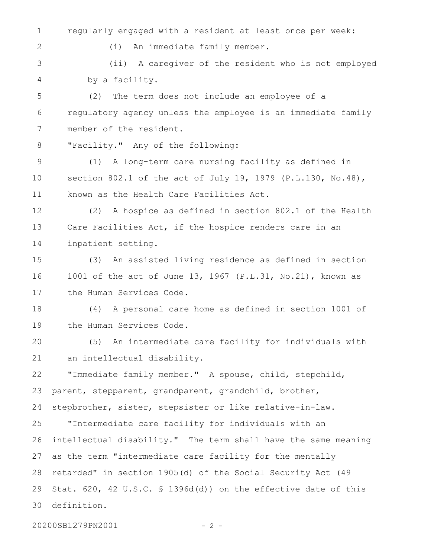regularly engaged with a resident at least once per week: 1

(i) An immediate family member.

(ii) A caregiver of the resident who is not employed by a facility. 3 4

(2) The term does not include an employee of a regulatory agency unless the employee is an immediate family member of the resident. 5 6 7

"Facility." Any of the following: 8

2

(1) A long-term care nursing facility as defined in section 802.1 of the act of July 19, 1979 (P.L.130, No.48), known as the Health Care Facilities Act. 9 10 11

(2) A hospice as defined in section 802.1 of the Health Care Facilities Act, if the hospice renders care in an inpatient setting. 12 13 14

(3) An assisted living residence as defined in section 1001 of the act of June 13, 1967 (P.L.31, No.21), known as the Human Services Code. 15 16 17

(4) A personal care home as defined in section 1001 of the Human Services Code. 18 19

(5) An intermediate care facility for individuals with an intellectual disability. 20 21

"Immediate family member." A spouse, child, stepchild, parent, stepparent, grandparent, grandchild, brother, stepbrother, sister, stepsister or like relative-in-law. 22 23 24

"Intermediate care facility for individuals with an intellectual disability." The term shall have the same meaning as the term "intermediate care facility for the mentally retarded" in section 1905(d) of the Social Security Act (49 Stat. 620, 42 U.S.C. § 1396d(d)) on the effective date of this definition. 25 26 27 28 29 30

20200SB1279PN2001 - 2 -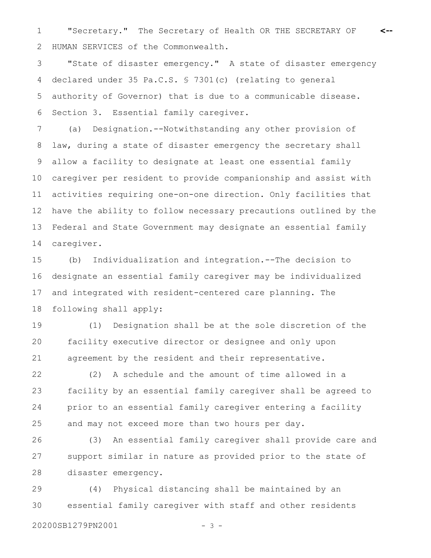"Secretary." The Secretary of Health OR THE SECRETARY OF 1 **<--** HUMAN SERVICES of the Commonwealth. 2

"State of disaster emergency." A state of disaster emergency declared under 35 Pa.C.S. § 7301(c) (relating to general authority of Governor) that is due to a communicable disease. Section 3. Essential family caregiver. 3 4 5 6

(a) Designation.--Notwithstanding any other provision of law, during a state of disaster emergency the secretary shall allow a facility to designate at least one essential family caregiver per resident to provide companionship and assist with activities requiring one-on-one direction. Only facilities that have the ability to follow necessary precautions outlined by the Federal and State Government may designate an essential family caregiver. 7 8 9 10 11 12 13 14

(b) Individualization and integration.--The decision to designate an essential family caregiver may be individualized and integrated with resident-centered care planning. The following shall apply: 15 16 17 18

(1) Designation shall be at the sole discretion of the facility executive director or designee and only upon agreement by the resident and their representative. 19 20 21

(2) A schedule and the amount of time allowed in a facility by an essential family caregiver shall be agreed to prior to an essential family caregiver entering a facility and may not exceed more than two hours per day. 22 23 24 25

(3) An essential family caregiver shall provide care and support similar in nature as provided prior to the state of disaster emergency. 26 27 28

(4) Physical distancing shall be maintained by an essential family caregiver with staff and other residents 29 30

20200SB1279PN2001 - 3 -